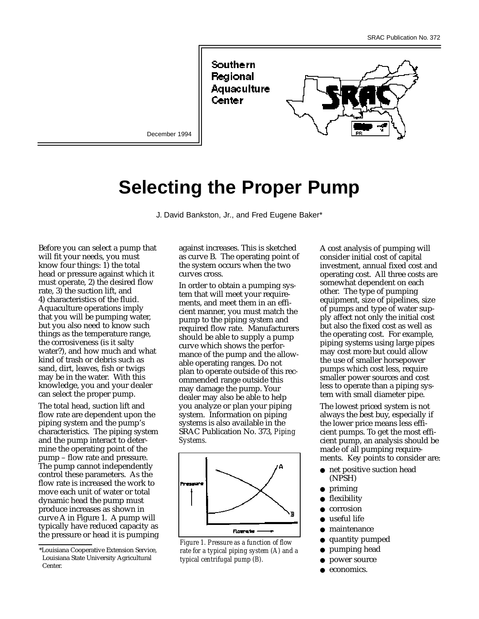Southern Regional Aquaculture Center



December 1994

# **Selecting the Proper Pump**

J. David Bankston, Jr., and Fred Eugene Baker\*

Before you can select a pump that will fit your needs, you must know four things: 1) the total head or pressure against which it must operate, 2) the desired flow rate, 3) the suction lift, and 4) characteristics of the fluid. Aquaculture operations imply that you will be pumping water, but you also need to know such things as the temperature range, the corrosiveness (is it salty water?), and how much and what kind of trash or debris such as sand, dirt, leaves, fish or twigs may be in the water. With this knowledge, you and your dealer can select the proper pump.

The total head, suction lift and flow rate are dependent upon the piping system and the pump's characteristics. The piping system and the pump interact to determine the operating point of the pump – flow rate and pressure. The pump cannot independently control these parameters. As the flow rate is increased the work to move each unit of water or total dynamic head the pump must produce increases as shown in curve A in Figure 1. A pump will typically have reduced capacity as the pressure or head it is pumping against increases. This is sketched as curve B. The operating point of the system occurs when the two curves cross.

In order to obtain a pumping system that will meet your requirements, and meet them in an efficient manner, you must match the pump to the piping system and required flow rate. Manufacturers should be able to supply a pump curve which shows the performance of the pump and the allowable operating ranges. Do not plan to operate outside of this recommended range outside this may damage the pump. Your dealer may also be able to help you analyze or plan your piping system. Information on piping systems is also available in the SRAC Publication No. 373, *Piping Systems.*



*Figure 1. Pressure as a function of flow rate for a typical piping system (A) and a typical centrifugal pump (B).*

A cost analysis of pumping will consider initial cost of capital investment, annual fixed cost and operating cost. All three costs are somewhat dependent on each other. The type of pumping equipment, size of pipelines, size of pumps and type of water supply affect not only the initial cost but also the fixed cost as well as the operating cost. For example, piping systems using large pipes may cost more but could allow the use of smaller horsepower pumps which cost less, require smaller power sources and cost less to operate than a piping system with small diameter pipe.

The lowest priced system is not always the best buy, especially if the lower price means less efficient pumps. To get the most efficient pump, an analysis should be made of all pumping requirements. Key points to consider are:

- net positive suction head (NPSH)
- priming
- flexibility
- corrosion
- useful life
- maintenance
- quantity pumped
- pumping head
- power source
- economics.

<sup>\*</sup>Louisiana Cooperative Extension Service, Louisiana State University Agricultural Center.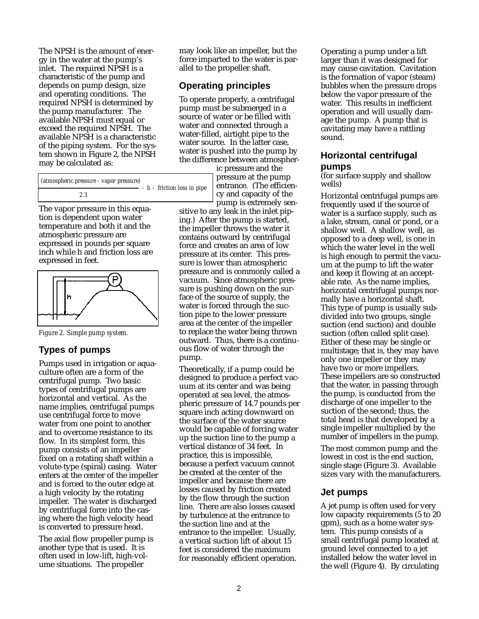The NPSH is the amount of energy in the water at the pump's inlet. The required NPSH is a characteristic of the pump and depends on pump design, size and operating conditions. The required NPSH is determined by the pump manufacturer. The available NPSH must equal or exceed the required NPSH. The available NPSH is a characteristic of the piping system. For the system shown in Figure 2, the NPSH may be calculated as:

| (atmospheric pressure - vapor pressure) |  |  |  |
|-----------------------------------------|--|--|--|
| 2.3                                     |  |  |  |

The vapor pressure in this equation is dependent upon water temperature and both it and the atmospheric pressure are expressed in pounds per square inch while h and friction loss are expressed in feet.



*Figure 2. Simple pump system.*

## **Types of pumps**

Pumps used in irrigation or aquaculture often are a form of the centrifugal pump. Two basic types of centrifugal pumps are horizontal and vertical. As the name implies, centrifugal pumps use centrifugal force to move water from one point to another and to overcome resistance to its flow. In its simplest form, this pump consists of an impeller fixed on a rotating shaft within a volute-type (spiral) casing. Water enters at the center of the impeller and is forced to the outer edge at a high velocity by the rotating impeller. The water is discharged by centrifugal force into the casing where the high velocity head is converted to pressure head.

The axial flow propeller pump is another type that is used. It is often used in low-lift, high-volume situations. The propeller

may look like an impeller, but the force imparted to the water is parallel to the propeller shaft.

## **Operating principles**

To operate properly, a centrifugal pump must be submerged in a source of water or be filled with water and connected through a water-filled, airtight pipe to the water source. In the latter case, water is pushed into the pump by the difference between atmospher-

ic pressure and the pressure at the pump entrance. (The efficiency and capacity of the pump is extremely sen-

sitive to any leak in the inlet piping.) After the pump is started, the impeller throws the water it contains outward by centrifugal force and creates an area of low pressure at its center. This pressure is lower than atmospheric pressure and is commonly called a vacuum. Since atmospheric pressure is pushing down on the surface of the source of supply, the water is forced through the suction pipe to the lower pressure area at the center of the impeller to replace the water being thrown outward. Thus, there is a continuous flow of water through the pump.

Theoretically, if a pump could be designed to produce a perfect vacuum at its center and was being operated at sea level, the atmospheric pressure of 14.7 pounds per square inch acting downward on the surface of the water source would be capable of forcing water up the suction line to the pump a vertical distance of 34 feet. In practice, this is impossible, because a perfect vacuum cannot be created at the center of the impeller and because there are losses caused by friction created by the flow through the suction line. There are also losses caused by turbulence at the entrance to the suction line and at the entrance to the impeller. Usually, a vertical suction lift of about 15 feet is considered the maximum for reasonably efficient operation.

Operating a pump under a lift larger than it was designed for may cause cavitation. Cavitation is the formation of vapor (steam) bubbles when the pressure drops below the vapor pressure of the water. This results in inefficient operation and will usually damage the pump. A pump that is cavitating may have a rattling sound.

## **Horizontal centrifugal pumps**

(for surface supply and shallow wells)

Horizontal centrifugal pumps are frequently used if the source of water is a surface supply, such as a lake, stream, canal or pond, or a shallow well. A shallow well, as opposed to a deep well, is one in which the water level in the well is high enough to permit the vacuum at the pump to lift the water and keep it flowing at an acceptable rate. As the name implies, horizontal centrifugal pumps normally have a horizontal shaft. This type of pump is usually subdivided into two groups, single suction (end suction) and double suction (often called split case). Either of these may be single or multistage; that is, they may have only one impeller or they may have two or more impellers. These impellers are so constructed that the water, in passing through the pump, is conducted from the discharge of one impeller to the suction of the second; thus, the total head is that developed by a single impeller multiplied by the number of impellers in the pump.

The most common pump and the lowest in cost is the end suction, single stage (Figure 3). Available sizes vary with the manufacturers.

#### **Jet pumps**

A jet pump is often used for very low capacity requirements (5 to 20 gpm), such as a home water system. This pump consists of a small centrifugal pump located at ground level connected to a jet installed below the water level in the well (Figure 4). By circulating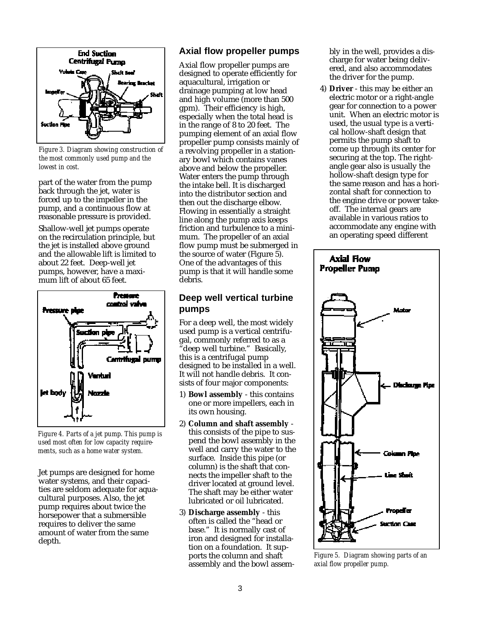

*Figure 3. Diagram showing construction of the most commonly used pump and the lowest in cost.*

part of the water from the pump back through the jet, water is forced up to the impeller in the pump, and a continuous flow at reasonable pressure is provided.

Shallow-well jet pumps operate on the recirculation principle, but the jet is installed above ground and the allowable lift is limited to about 22 feet. Deep-well jet pumps, however, have a maximum lift of about 65 feet.



*Figure 4. Parts of a jet pump. This pump is used most often for low capacity requirements, such as a home water system.*

Jet pumps are designed for home water systems, and their capacities are seldom adequate for aquacultural purposes. Also, the jet pump requires about twice the horsepower that a submersible requires to deliver the same amount of water from the same depth.

## **Axial flow propeller pumps**

Axial flow propeller pumps are designed to operate efficiently for aquacultural, irrigation or drainage pumping at low head and high volume (more than 500 gpm). Their efficiency is high, especially when the total head is in the range of 8 to 20 feet. The pumping element of an axial flow propeller pump consists mainly of a revolving propeller in a stationary bowl which contains vanes above and below the propeller. Water enters the pump through the intake bell. It is discharged into the distributor section and then out the discharge elbow. Flowing in essentially a straight line along the pump axis keeps friction and turbulence to a minimum. The propeller of an axial flow pump must be submerged in the source of water (Figure 5). One of the advantages of this pump is that it will handle some debris.

#### **Deep well vertical turbine pumps**

For a deep well, the most widely used pump is a vertical centrifugal, commonly referred to as a deep well turbine." Basically, this is a centrifugal pump designed to be installed in a well. It will not handle debris. It consists of four major components:

- 1) **Bowl assembly** this contains one or more impellers, each in its own housing.
- 2) **Column and shaft assembly** this consists of the pipe to suspend the bowl assembly in the well and carry the water to the surface. Inside this pipe (or column) is the shaft that connects the impeller shaft to the driver located at ground level. The shaft may be either water lubricated or oil lubricated.
- 3) **Discharge assembly** this often is called the "head or base." It is normally cast of iron and designed for installation on a foundation. It supports the column and shaft assembly and the bowl assem-

bly in the well, provides a discharge for water being delivered, and also accommodates the driver for the pump.

4) **Driver** - this may be either an electric motor or a right-angle gear for connection to a power unit. When an electric motor is used, the usual type is a vertical hollow-shaft design that permits the pump shaft to come up through its center for securing at the top. The rightangle gear also is usually the hollow-shaft design type for the same reason and has a horizontal shaft for connection to the engine drive or power takeoff. The internal gears are available in various ratios to accommodate any engine with an operating speed different



*Figure 5. Diagram showing parts of an axial flow propeller pump.*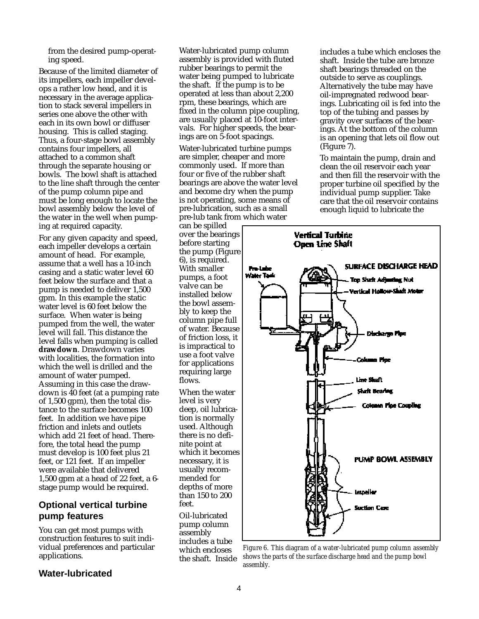from the desired pump-operating speed.

Because of the limited diameter of its impellers, each impeller develops a rather low head, and it is necessary in the average application to stack several impellers in series one above the other with each in its own bowl or diffuser housing. This is called staging. Thus, a four-stage bowl assembly contains four impellers, all attached to a common shaft through the separate housing or bowls. The bowl shaft is attached to the line shaft through the center of the pump column pipe and must be long enough to locate the bowl assembly below the level of the water in the well when pumping at required capacity.

For any given capacity and speed, each impeller develops a certain amount of head. For example, assume that a well has a 10-inch casing and a static water level 60 feet below the surface and that a pump is needed to deliver 1,500 gpm. In this example the static water level is 60 feet below the surface. When water is being pumped from the well, the water level will fall. This distance the level falls when pumping is called **drawdown**. Drawdown varies with localities, the formation into which the well is drilled and the amount of water pumped. Assuming in this case the drawdown is 40 feet (at a pumping rate of 1,500 gpm), then the total distance to the surface becomes 100 feet. In addition we have pipe friction and inlets and outlets which add 21 feet of head. Therefore, the total head the pump must develop is 100 feet plus 21 feet, or 121 feet. If an impeller were available that delivered 1,500 gpm at a head of 22 feet, a 6 stage pump would be required.

## **Optional vertical turbine pump features**

You can get most pumps with construction features to suit individual preferences and particular applications.

Water-lubricated pump column assembly is provided with fluted rubber bearings to permit the water being pumped to lubricate the shaft. If the pump is to be operated at less than about 2,200 rpm, these bearings, which are fixed in the column pipe coupling, are usually placed at 10-foot intervals. For higher speeds, the bearings are on 5-foot spacings.

Water-lubricated turbine pumps are simpler, cheaper and more commonly used. If more than four or five of the rubber shaft bearings are above the water level and become dry when the pump is not operating, some means of pre-lubrication, such as a small pre-lub tank from which water

can be spilled over the bearings before starting the pump (Figure 6), is required. With smaller pumps, a foot valve can be installed below the bowl assembly to keep the column pipe full of water. Because of friction loss, it is impractical to use a foot valve for applications requiring large flows.

When the water level is very deep, oil lubrication is normally used. Although there is no definite point at which it becomes necessary, it is usually recommended for depths of more than 150 to 200  $f_{\rho\rho}$ 

Oil-lubricated pump column assembly includes a tube which encloses the shaft. Inside includes a tube which encloses the shaft. Inside the tube are bronze shaft bearings threaded on the outside to serve as couplings. Alternatively the tube may have oil-impregnated redwood bearings. Lubricating oil is fed into the top of the tubing and passes by gravity over surfaces of the bearings. At the bottom of the column is an opening that lets oil flow out (Figure 7).

To maintain the pump, drain and clean the oil reservoir each year and then fill the reservoir with the proper turbine oil specified by the individual pump supplier. Take care that the oil reservoir contains enough liquid to lubricate the



*Figure 6. This diagram of a water-lubricated pump column assembly shows the parts of the surface discharge head and the pump bowl assembly.*

## **Water-lubricated**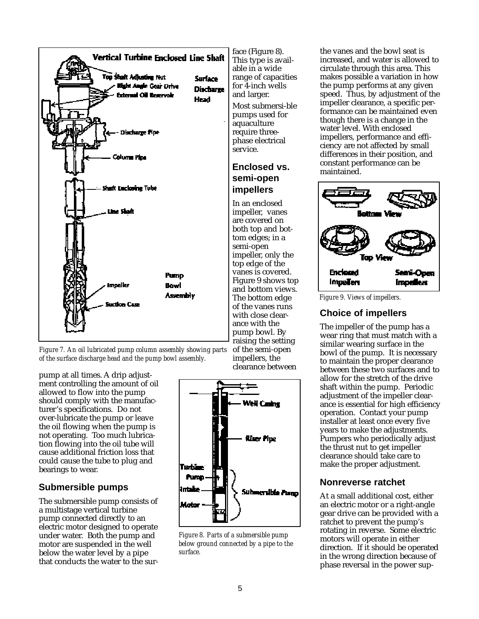

*Figure 7. An oil lubricated pump column assembly showing parts of the surface discharge head and the pump bowl assembly.*

pump at all times. A drip adjustment controlling the amount of oil allowed to flow into the pump should comply with the manufacturer's specifications. Do not over-lubricate the pump or leave the oil flowing when the pump is not operating. Too much lubrication flowing into the oil tube will cause additional friction loss that could cause the tube to plug and bearings to wear.

#### **Submersible pumps**

The submersible pump consists of a multistage vertical turbine pump connected directly to an electric motor designed to operate under water. Both the pump and motor are suspended in the well below the water level by a pipe that conducts the water to the surface (Figure 8). This type is available in a wide range of capacities for 4-inch wells and larger. Most submersi-ble pumps used for aquaculture require threephase electrical service.

### **Enclosed vs. semi-open impellers**

In an enclosed impeller, vanes are covered on both top and bottom edges; in a semi-open impeller, only the top edge of the vanes is covered. Figure 9 shows top and bottom views. The bottom edge of the vanes runs with close clearance with the pump bowl. By raising the setting of the semi-open

impellers, the clearance between



*Figure 8. Parts of a submersible pump below ground connected by a pipe to the surface.*

the vanes and the bowl seat is increased, and water is allowed to circulate through this area. This makes possible a variation in how the pump performs at any given speed. Thus, by adjustment of the impeller clearance, a specific performance can be maintained even though there is a change in the water level. With enclosed impellers, performance and efficiency are not affected by small differences in their position, and constant performance can be maintained.



*Figure 9. Views of impellers.*

# **Choice of impellers**

The impeller of the pump has a wear ring that must match with a similar wearing surface in the bowl of the pump. It is necessary to maintain the proper clearance between these two surfaces and to allow for the stretch of the drive shaft within the pump. Periodic adjustment of the impeller clearance is essential for high efficiency operation. Contact your pump installer at least once every five years to make the adjustments. Pumpers who periodically adjust the thrust nut to get impeller clearance should take care to make the proper adjustment.

## **Nonreverse ratchet**

At a small additional cost, either an electric motor or a right-angle gear drive can be provided with a ratchet to prevent the pump's rotating in reverse. Some electric motors will operate in either direction. If it should be operated in the wrong direction because of phase reversal in the power sup-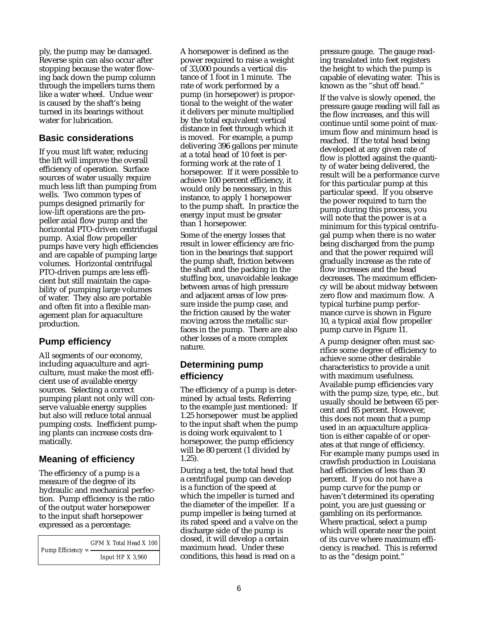ply, the pump may be damaged. Reverse spin can also occur after stopping because the water flowing back down the pump column through the impellers turns them like a water wheel. Undue wear is caused by the shaft's being turned in its bearings without water for lubrication.

## **Basic considerations**

If you must lift water, reducing the lift will improve the overall efficiency of operation. Surface sources of water usually require much less lift than pumping from wells. Two common types of pumps designed primarily for low-lift operations are the propeller axial flow pump and the horizontal PTO-driven centrifugal pump. Axial flow propeller pumps have very high efficiencies and are capable of pumping large volumes. Horizontal centrifugal PTO-driven pumps are less efficient but still maintain the capability of pumping large volumes of water. They also are portable and often fit into a flexible management plan for aquaculture production.

## **Pump efficiency**

All segments of our economy, including aquaculture and agriculture, must make the most efficient use of available energy sources. Selecting a correct pumping plant not only will conserve valuable energy supplies but also will reduce total annual pumping costs. Inefficient pumping plants can increase costs dramatically.

## **Meaning of efficiency**

The efficiency of a pump is a measure of the degree of its hydraulic and mechanical perfection. Pump efficiency is the ratio of the output water horsepower to the input shaft horsepower expressed as a percentage:

| Pump Efficiency $=$ $-$ | GPM X Total Head X 100 |
|-------------------------|------------------------|
|                         | Input $HPX3,960$       |

A horsepower is defined as the power required to raise a weight of 33,000 pounds a vertical distance of 1 foot in 1 minute. The rate of work performed by a pump (in horsepower) is proportional to the weight of the water it delivers per minute multiplied by the total equivalent vertical distance in feet through which it is moved. For example, a pump delivering 396 gallons per minute at a total head of 10 feet is performing work at the rate of 1 horsepower. If it were possible to achieve 100 percent efficiency, it would only be necessary, in this instance, to apply 1 horsepower to the pump shaft. In practice the energy input must be greater than 1 horsepower.

Some of the energy losses that result in lower efficiency are friction in the bearings that support the pump shaft, friction between the shaft and the packing in the stuffing box, unavoidable leakage between areas of high pressure and adjacent areas of low pressure inside the pump case, and the friction caused by the water moving across the metallic surfaces in the pump. There are also other losses of a more complex nature.

## **Determining pump efficiency**

The efficiency of a pump is determined by actual tests. Referring to the example just mentioned: If 1.25 horsepower must be applied to the input shaft when the pump is doing work equivalent to 1 horsepower, the pump efficiency will be 80 percent (1 divided by 1.25).

During a test, the total head that a centrifugal pump can develop is a function of the speed at which the impeller is turned and the diameter of the impeller. If a pump impeller is being turned at its rated speed and a valve on the discharge side of the pump is closed, it will develop a certain maximum head. Under these conditions, this head is read on a

pressure gauge. The gauge reading translated into feet registers the height to which the pump is capable of elevating water. This is known as the "shut off head."

If the valve is slowly opened, the pressure gauge reading will fall as the flow increases, and this will continue until some point of maximum flow and minimum head is reached. If the total head being developed at any given rate of flow is plotted against the quantity of water being delivered, the result will be a performance curve for this particular pump at this particular speed. If you observe the power required to turn the pump during this process, you will note that the power is at a minimum for this typical centrifugal pump when there is no water being discharged from the pump and that the power required will gradually increase as the rate of flow increases and the head decreases. The maximum efficiency will be about midway between zero flow and maximum flow. A typical turbine pump performance curve is shown in Figure 10, a typical axial flow propeller pump curve in Figure 11.

A pump designer often must sacrifice some degree of efficiency to achieve some other desirable characteristics to provide a unit with maximum usefulness. Available pump efficiencies vary with the pump size, type, etc., but usually should be between 65 percent and 85 percent. However, this does not mean that a pump used in an aquaculture application is either capable of or operates at that range of efficiency. For example many pumps used in crawfish production in Louisiana had efficiencies of less than 30 percent. If you do not have a pump curve for the pump or haven't determined its operating point, you are just guessing or gambling on its performance. Where practical, select a pump which will operate near the point of its curve where maximum efficiency is reached. This is referred to as the "design point."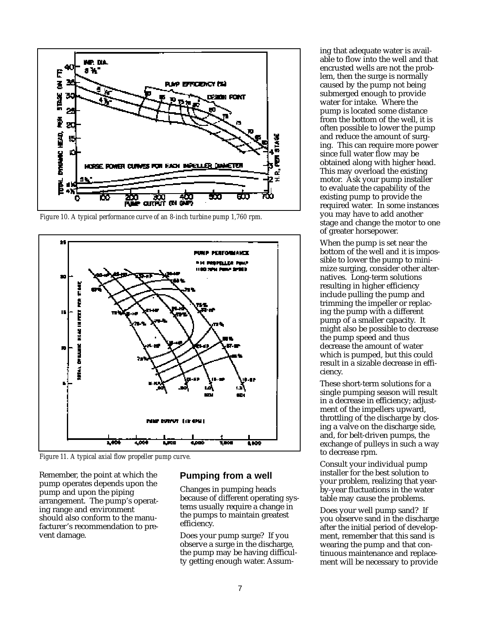

*Figure 10. A typical performance curve of an 8-inch turbine pump 1,760 rpm.*



*Figure 11. A typical axial flow propeller pump curve.*

Remember, the point at which the pump operates depends upon the pump and upon the piping arrangement. The pump's operating range and environment should also conform to the manufacturer's recommendation to prevent damage.

#### **Pumping from a well**

Changes in pumping heads because of different operating systems usually require a change in the pumps to maintain greatest efficiency.

Does your pump surge? If you observe a surge in the discharge, the pump may be having difficulty getting enough water. Assuming that adequate water is available to flow into the well and that encrusted wells are not the problem, then the surge is normally caused by the pump not being submerged enough to provide water for intake. Where the pump is located some distance from the bottom of the well, it is often possible to lower the pump and reduce the amount of surging. This can require more power since full water flow may be obtained along with higher head. This may overload the existing motor. Ask your pump installer to evaluate the capability of the existing pump to provide the required water. In some instances you may have to add another stage and change the motor to one of greater horsepower.

When the pump is set near the bottom of the well and it is impossible to lower the pump to minimize surging, consider other alternatives. Long-term solutions resulting in higher efficiency include pulling the pump and trimming the impeller or replacing the pump with a different pump of a smaller capacity. It might also be possible to decrease the pump speed and thus decrease the amount of water which is pumped, but this could result in a sizable decrease in efficiency.

These short-term solutions for a single pumping season will result in a decrease in efficiency; adjustment of the impellers upward, throttling of the discharge by closing a valve on the discharge side, and, for belt-driven pumps, the exchange of pulleys in such a way to decrease rpm.

Consult your individual pump installer for the best solution to your problem, realizing that yearby-year fluctuations in the water table may cause the problems.

Does your well pump sand? If you observe sand in the discharge after the initial period of development, remember that this sand is wearing the pump and that continuous maintenance and replacement will be necessary to provide